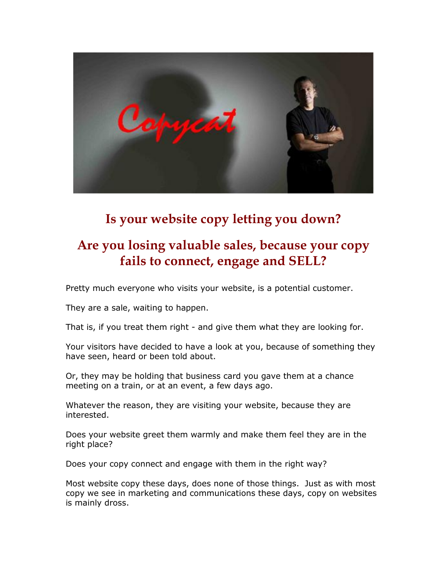

# **Is your website copy letting you down?**

## **Are you losing valuable sales, because your copy fails to connect, engage and SELL?**

Pretty much everyone who visits your website, is a potential customer.

They are a sale, waiting to happen.

That is, if you treat them right - and give them what they are looking for.

Your visitors have decided to have a look at you, because of something they have seen, heard or been told about.

Or, they may be holding that business card you gave them at a chance meeting on a train, or at an event, a few days ago.

Whatever the reason, they are visiting your website, because they are interested.

Does your website greet them warmly and make them feel they are in the right place?

Does your copy connect and engage with them in the right way?

Most website copy these days, does none of those things. Just as with most copy we see in marketing and communications these days, copy on websites is mainly dross.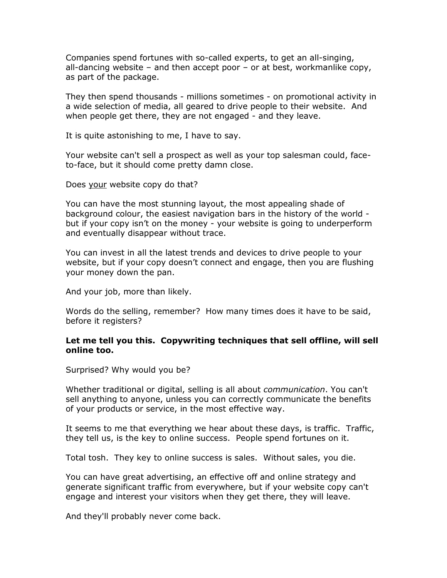Companies spend fortunes with so-called experts, to get an all-singing, all-dancing website – and then accept poor – or at best, workmanlike copy, as part of the package.

They then spend thousands - millions sometimes - on promotional activity in a wide selection of media, all geared to drive people to their website. And when people get there, they are not engaged - and they leave.

It is quite astonishing to me, I have to say.

Your website can't sell a prospect as well as your top salesman could, faceto-face, but it should come pretty damn close.

Does your website copy do that?

You can have the most stunning layout, the most appealing shade of background colour, the easiest navigation bars in the history of the world but if your copy isn"t on the money - your website is going to underperform and eventually disappear without trace.

You can invest in all the latest trends and devices to drive people to your website, but if your copy doesn"t connect and engage, then you are flushing your money down the pan.

And your job, more than likely.

Words do the selling, remember? How many times does it have to be said, before it registers?

## **Let me tell you this. Copywriting techniques that sell offline, will sell online too.**

Surprised? Why would you be?

Whether traditional or digital, selling is all about *communication*. You can't sell anything to anyone, unless you can correctly communicate the benefits of your products or service, in the most effective way.

It seems to me that everything we hear about these days, is traffic. Traffic, they tell us, is the key to online success. People spend fortunes on it.

Total tosh. They key to online success is sales. Without sales, you die.

You can have great advertising, an effective off and online strategy and generate significant traffic from everywhere, but if your website copy can't engage and interest your visitors when they get there, they will leave.

And they'll probably never come back.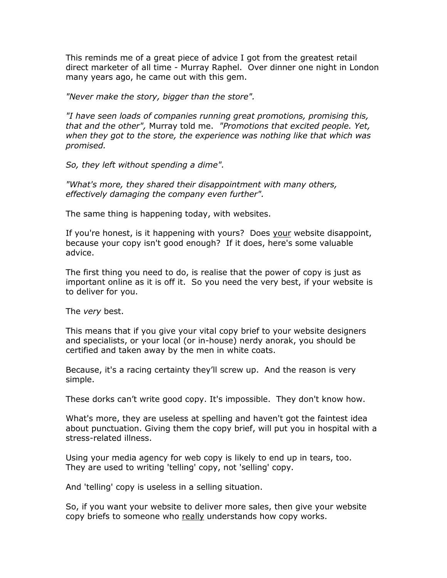This reminds me of a great piece of advice I got from the greatest retail direct marketer of all time - Murray Raphel. Over dinner one night in London many years ago, he came out with this gem.

*"Never make the story, bigger than the store".*

*"I have seen loads of companies running great promotions, promising this, that and the other",* Murray told me. *"Promotions that excited people. Yet, when they got to the store, the experience was nothing like that which was promised.*

*So, they left without spending a dime".*

*"What's more, they shared their disappointment with many others, effectively damaging the company even further".*

The same thing is happening today, with websites.

If you're honest, is it happening with yours? Does your website disappoint, because your copy isn't good enough? If it does, here's some valuable advice.

The first thing you need to do, is realise that the power of copy is just as important online as it is off it. So you need the very best, if your website is to deliver for you.

The *very* best.

This means that if you give your vital copy brief to your website designers and specialists, or your local (or in-house) nerdy anorak, you should be certified and taken away by the men in white coats.

Because, it's a racing certainty they"ll screw up. And the reason is very simple.

These dorks can"t write good copy. It's impossible. They don't know how.

What's more, they are useless at spelling and haven't got the faintest idea about punctuation. Giving them the copy brief, will put you in hospital with a stress-related illness.

Using your media agency for web copy is likely to end up in tears, too. They are used to writing 'telling' copy, not 'selling' copy.

And 'telling' copy is useless in a selling situation.

So, if you want your website to deliver more sales, then give your website copy briefs to someone who really understands how copy works.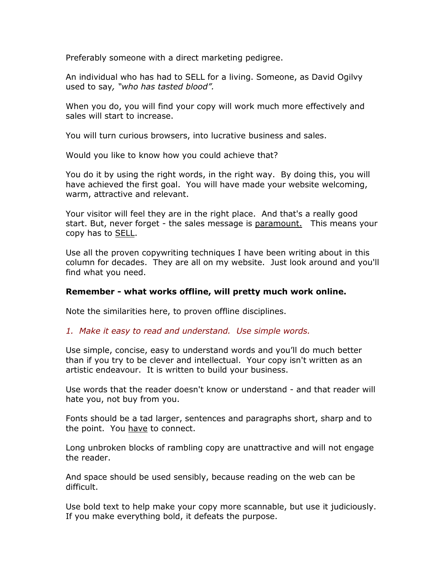Preferably someone with a direct marketing pedigree.

An individual who has had to SELL for a living. Someone, as David Ogilvy used to say*, "who has tasted blood".*

When you do, you will find your copy will work much more effectively and sales will start to increase.

You will turn curious browsers, into lucrative business and sales.

Would you like to know how you could achieve that?

You do it by using the right words, in the right way. By doing this, you will have achieved the first goal. You will have made your website welcoming, warm, attractive and relevant.

Your visitor will feel they are in the right place. And that's a really good start. But, never forget - the sales message is paramount. This means your copy has to SELL.

Use all the proven copywriting techniques I have been writing about in this column for decades. They are all on my website. Just look around and you'll find what you need.

## **Remember - what works offline, will pretty much work online.**

Note the similarities here, to proven offline disciplines.

## *1. Make it easy to read and understand. Use simple words.*

Use simple, concise, easy to understand words and you"ll do much better than if you try to be clever and intellectual. Your copy isn't written as an artistic endeavour. It is written to build your business.

Use words that the reader doesn't know or understand - and that reader will hate you, not buy from you.

Fonts should be a tad larger, sentences and paragraphs short, sharp and to the point. You have to connect.

Long unbroken blocks of rambling copy are unattractive and will not engage the reader.

And space should be used sensibly, because reading on the web can be difficult.

Use bold text to help make your copy more scannable, but use it judiciously. If you make everything bold, it defeats the purpose.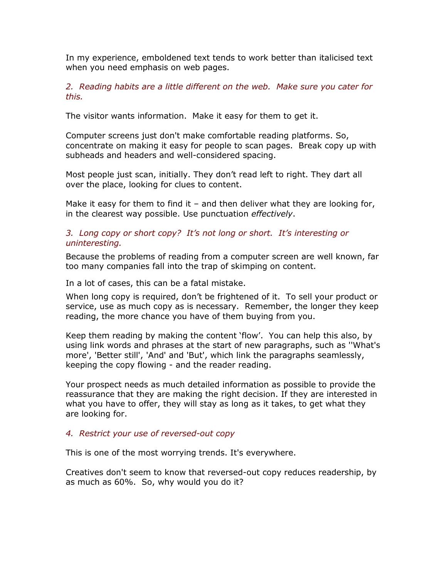In my experience, emboldened text tends to work better than italicised text when you need emphasis on web pages.

*2. Reading habits are a little different on the web. Make sure you cater for this.*

The visitor wants information. Make it easy for them to get it.

Computer screens just don't make comfortable reading platforms. So, concentrate on making it easy for people to scan pages. Break copy up with subheads and headers and well-considered spacing.

Most people just scan, initially. They don"t read left to right. They dart all over the place, looking for clues to content.

Make it easy for them to find it  $-$  and then deliver what they are looking for, in the clearest way possible. Use punctuation *effectively*.

## *3. Long copy or short copy? It's not long or short. It's interesting or uninteresting.*

Because the problems of reading from a computer screen are well known, far too many companies fall into the trap of skimping on content.

In a lot of cases, this can be a fatal mistake.

When long copy is required, don"t be frightened of it. To sell your product or service, use as much copy as is necessary. Remember, the longer they keep reading, the more chance you have of them buying from you.

Keep them reading by making the content "flow". You can help this also, by using link words and phrases at the start of new paragraphs, such as ''What's more', 'Better still', 'And' and 'But', which link the paragraphs seamlessly, keeping the copy flowing - and the reader reading.

Your prospect needs as much detailed information as possible to provide the reassurance that they are making the right decision. If they are interested in what you have to offer, they will stay as long as it takes, to get what they are looking for.

## *4. Restrict your use of reversed-out copy*

This is one of the most worrying trends. It's everywhere.

Creatives don't seem to know that reversed-out copy reduces readership, by as much as 60%. So, why would you do it?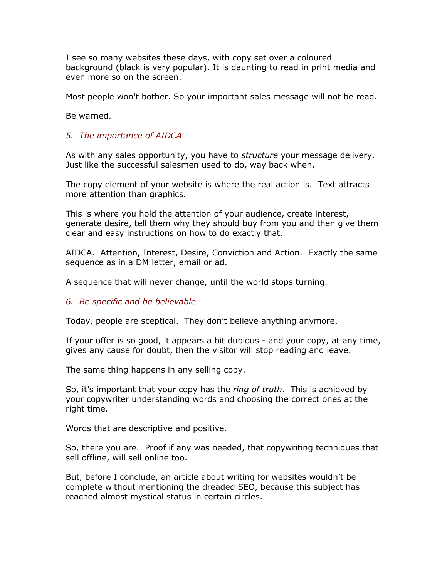I see so many websites these days, with copy set over a coloured background (black is very popular). It is daunting to read in print media and even more so on the screen.

Most people won't bother. So your important sales message will not be read.

Be warned.

## *5. The importance of AIDCA*

As with any sales opportunity, you have to *structure* your message delivery. Just like the successful salesmen used to do, way back when.

The copy element of your website is where the real action is. Text attracts more attention than graphics.

This is where you hold the attention of your audience, create interest, generate desire, tell them why they should buy from you and then give them clear and easy instructions on how to do exactly that.

AIDCA. Attention, Interest, Desire, Conviction and Action. Exactly the same sequence as in a DM letter, email or ad.

A sequence that will never change, until the world stops turning.

## *6. Be specific and be believable*

Today, people are sceptical. They don"t believe anything anymore.

If your offer is so good, it appears a bit dubious - and your copy, at any time, gives any cause for doubt, then the visitor will stop reading and leave.

The same thing happens in any selling copy.

So, it's important that your copy has the *ring of truth*. This is achieved by your copywriter understanding words and choosing the correct ones at the right time.

Words that are descriptive and positive.

So, there you are. Proof if any was needed, that copywriting techniques that sell offline, will sell online too.

But, before I conclude, an article about writing for websites wouldn"t be complete without mentioning the dreaded SEO, because this subject has reached almost mystical status in certain circles.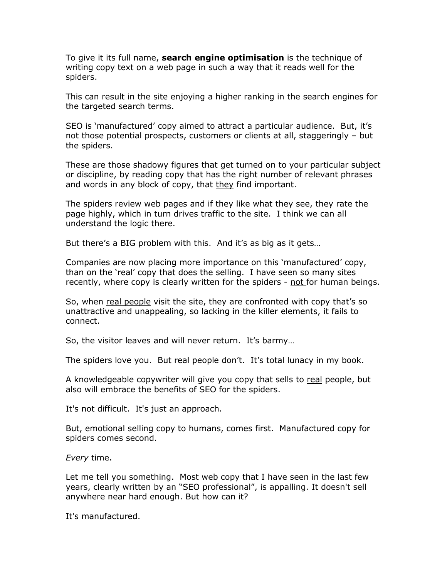To give it its full name, **search engine optimisation** is the technique of writing copy text on a web page in such a way that it reads well for the spiders.

This can result in the site enjoying a higher ranking in the search engines for the targeted search terms.

SEO is "manufactured" copy aimed to attract a particular audience. But, it"s not those potential prospects, customers or clients at all, staggeringly – but the spiders.

These are those shadowy figures that get turned on to your particular subject or discipline, by reading copy that has the right number of relevant phrases and words in any block of copy, that they find important.

The spiders review web pages and if they like what they see, they rate the page highly, which in turn drives traffic to the site. I think we can all understand the logic there.

But there's a BIG problem with this. And it's as big as it gets...

Companies are now placing more importance on this "manufactured" copy, than on the "real" copy that does the selling. I have seen so many sites recently, where copy is clearly written for the spiders - not for human beings.

So, when real people visit the site, they are confronted with copy that's so unattractive and unappealing, so lacking in the killer elements, it fails to connect.

So, the visitor leaves and will never return. It's barmy...

The spiders love you. But real people don"t. It"s total lunacy in my book.

A knowledgeable copywriter will give you copy that sells to real people, but also will embrace the benefits of SEO for the spiders.

It's not difficult. It's just an approach.

But, emotional selling copy to humans, comes first. Manufactured copy for spiders comes second.

*Every* time.

Let me tell you something. Most web copy that I have seen in the last few years, clearly written by an "SEO professional", is appalling. It doesn't sell anywhere near hard enough. But how can it?

It's manufactured.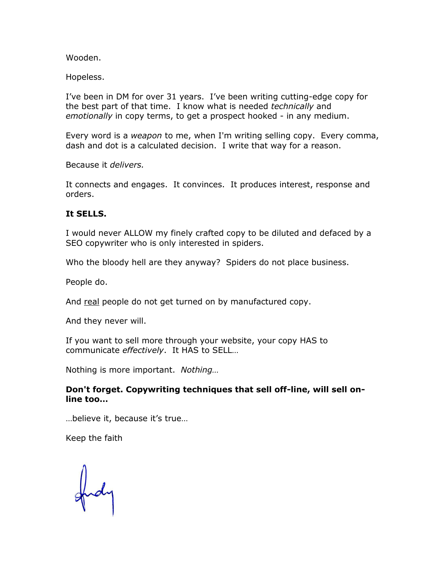Wooden.

Hopeless.

I"ve been in DM for over 31 years. I"ve been writing cutting-edge copy for the best part of that time. I know what is needed *technically* and *emotionally* in copy terms, to get a prospect hooked - in any medium.

Every word is a *weapon* to me, when I'm writing selling copy. Every comma, dash and dot is a calculated decision. I write that way for a reason.

Because it *delivers.*

It connects and engages. It convinces. It produces interest, response and orders.

#### **It SELLS.**

I would never ALLOW my finely crafted copy to be diluted and defaced by a SEO copywriter who is only interested in spiders.

Who the bloody hell are they anyway? Spiders do not place business.

People do.

And real people do not get turned on by manufactured copy.

And they never will.

If you want to sell more through your website, your copy HAS to communicate *effectively*. It HAS to SELL…

Nothing is more important. *Nothing…*

## **Don't forget. Copywriting techniques that sell off-line, will sell online too…**

…believe it, because it"s true…

Keep the faith